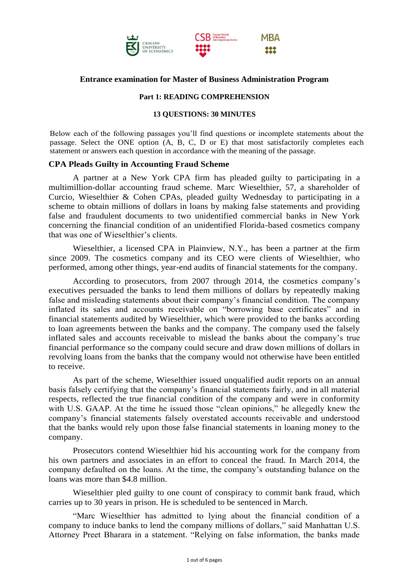

# **Entrance examination for Master of Business Administration Program**

## **Part 1: READING COMPREHENSION**

#### **13 QUESTIONS: 30 MINUTES**

Below each of the following passages you'll find questions or incomplete statements about the passage. Select the ONE option (A, B, C, D or E) that most satisfactorily completes each statement or answers each question in accordance with the meaning of the passage.

## **CPA Pleads Guilty in Accounting Fraud Scheme**

A partner at a New York CPA firm has pleaded guilty to participating in a multimillion-dollar accounting fraud scheme. Marc Wieselthier, 57, a shareholder of Curcio, Wieselthier & Cohen CPAs, pleaded guilty Wednesday to participating in a scheme to obtain millions of dollars in loans by making false statements and providing false and fraudulent documents to two unidentified commercial banks in New York concerning the financial condition of an unidentified Florida-based cosmetics company that was one of Wieselthier's clients.

Wieselthier, a licensed CPA in Plainview, N.Y., has been a partner at the firm since 2009. The cosmetics company and its CEO were clients of Wieselthier, who performed, among other things, year-end audits of financial statements for the company.

According to prosecutors, from 2007 through 2014, the cosmetics company's executives persuaded the banks to lend them millions of dollars by repeatedly making false and misleading statements about their company's financial condition. The company inflated its sales and accounts receivable on "borrowing base certificates" and in financial statements audited by Wieselthier, which were provided to the banks according to loan agreements between the banks and the company. The company used the falsely inflated sales and accounts receivable to mislead the banks about the company's true financial performance so the company could secure and draw down millions of dollars in revolving loans from the banks that the company would not otherwise have been entitled to receive.

As part of the scheme, Wieselthier issued unqualified audit reports on an annual basis falsely certifying that the company's financial statements fairly, and in all material respects, reflected the true financial condition of the company and were in conformity with U.S. GAAP. At the time he issued those "clean opinions," he allegedly knew the company's financial statements falsely overstated accounts receivable and understood that the banks would rely upon those false financial statements in loaning money to the company.

Prosecutors contend Wieselthier hid his accounting work for the company from his own partners and associates in an effort to conceal the fraud. In March 2014, the company defaulted on the loans. At the time, the company's outstanding balance on the loans was more than \$4.8 million.

Wieselthier pled guilty to one count of conspiracy to commit bank fraud, which carries up to 30 years in prison. He is scheduled to be sentenced in March.

"Marc Wieselthier has admitted to lying about the financial condition of a company to induce banks to lend the company millions of dollars," said Manhattan U.S. Attorney Preet Bharara in a statement. "Relying on false information, the banks made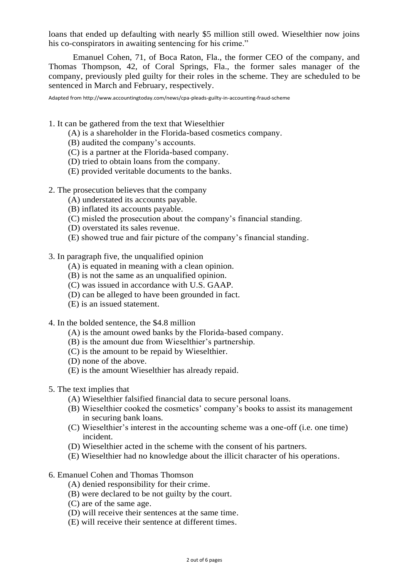loans that ended up defaulting with nearly \$5 million still owed. Wieselthier now joins his co-conspirators in awaiting sentencing for his crime."

Emanuel Cohen, 71, of Boca Raton, Fla., the former CEO of the company, and Thomas Thompson, 42, of Coral Springs, Fla., the former sales manager of the company, previously pled guilty for their roles in the scheme. They are scheduled to be sentenced in March and February, respectively.

Adapted from http://www.accountingtoday.com/news/cpa-pleads-guilty-in-accounting-fraud-scheme

1. It can be gathered from the text that Wieselthier

- (A) is a shareholder in the Florida-based cosmetics company.
- (B) audited the company's accounts.
- (C) is a partner at the Florida-based company.
- (D) tried to obtain loans from the company.
- (E) provided veritable documents to the banks.
- 2. The prosecution believes that the company
	- (A) understated its accounts payable.
	- (B) inflated its accounts payable.
	- (C) misled the prosecution about the company's financial standing.
	- (D) overstated its sales revenue.
	- (E) showed true and fair picture of the company's financial standing.
- 3. In paragraph five, the unqualified opinion
	- (A) is equated in meaning with a clean opinion.
	- (B) is not the same as an unqualified opinion.
	- (C) was issued in accordance with U.S. GAAP.
	- (D) can be alleged to have been grounded in fact.
	- (E) is an issued statement.
- 4. In the bolded sentence, the \$4.8 million
	- (A) is the amount owed banks by the Florida-based company.
	- (B) is the amount due from Wieselthier's partnership.
	- (C) is the amount to be repaid by Wieselthier.
	- (D) none of the above.
	- (E) is the amount Wieselthier has already repaid.
- 5. The text implies that
	- (A) Wieselthier falsified financial data to secure personal loans.
	- (B) Wieselthier cooked the cosmetics' company's books to assist its management in securing bank loans.
	- (C) Wieselthier's interest in the accounting scheme was a one-off (i.e. one time) incident.
	- (D) Wieselthier acted in the scheme with the consent of his partners.
	- (E) Wieselthier had no knowledge about the illicit character of his operations.
- 6. Emanuel Cohen and Thomas Thomson
	- (A) denied responsibility for their crime.
	- (B) were declared to be not guilty by the court.
	- (C) are of the same age.
	- (D) will receive their sentences at the same time.
	- (E) will receive their sentence at different times.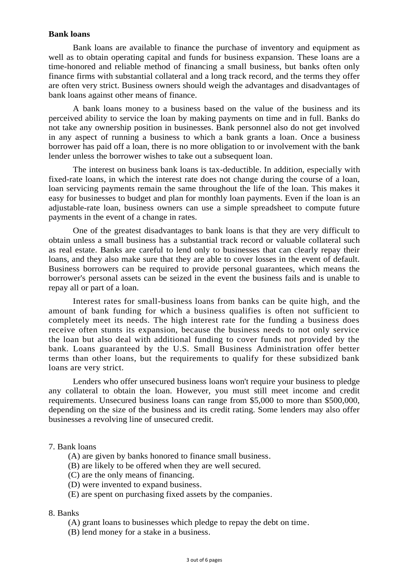## **Bank loans**

Bank loans are available to finance the purchase of inventory and equipment as well as to obtain operating capital and funds for business expansion. These loans are a time-honored and reliable method of financing a small business, but banks often only finance firms with substantial collateral and a long track record, and the terms they offer are often very strict. Business owners should weigh the advantages and disadvantages of bank loans against other means of finance.

A bank loans money to a business based on the value of the business and its perceived ability to service the loan by making payments on time and in full. Banks do not take any ownership position in businesses. Bank personnel also do not get involved in any aspect of running a business to which a bank grants a loan. Once a business borrower has paid off a loan, there is no more obligation to or involvement with the bank lender unless the borrower wishes to take out a subsequent loan.

The interest on business bank loans is tax-deductible. In addition, especially with fixed-rate loans, in which the interest rate does not change during the course of a loan, loan servicing payments remain the same throughout the life of the loan. This makes it easy for businesses to budget and plan for monthly loan payments. Even if the loan is an adjustable-rate loan, business owners can use a simple spreadsheet to compute future payments in the event of a change in rates.

One of the greatest disadvantages to bank loans is that they are very difficult to obtain unless a small business has a substantial track record or valuable collateral such as real estate. Banks are careful to lend only to businesses that can clearly repay their loans, and they also make sure that they are able to cover losses in the event of default. Business borrowers can be required to provide personal guarantees, which means the borrower's personal assets can be seized in the event the business fails and is unable to repay all or part of a loan.

Interest rates for small-business loans from banks can be quite high, and the amount of bank funding for which a business qualifies is often not sufficient to completely meet its needs. The high interest rate for the funding a business does receive often stunts its expansion, because the business needs to not only service the loan but also deal with additional funding to cover funds not provided by the bank. Loans guaranteed by the U.S. Small Business Administration offer better terms than other loans, but the requirements to qualify for these subsidized bank loans are very strict.

Lenders who offer unsecured business loans won't require your business to pledge any collateral to obtain the loan. However, you must still meet income and credit requirements. Unsecured business loans can range from \$5,000 to more than \$500,000, depending on the size of the business and its credit rating. Some lenders may also offer businesses a revolving line of unsecured credit.

# 7. Bank loans

- (A) are given by banks honored to finance small business.
- (B) are likely to be offered when they are well secured.
- (C) are the only means of financing.
- (D) were invented to expand business.
- (E) are spent on purchasing fixed assets by the companies.

#### 8. Banks

- (A) grant loans to businesses which pledge to repay the debt on time.
- (B) lend money for a stake in a business.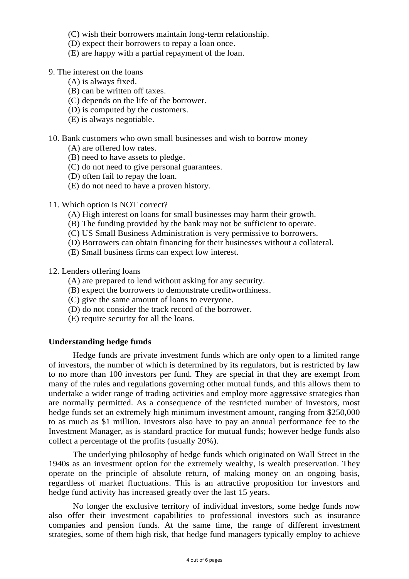- (C) wish their borrowers maintain long-term relationship.
- (D) expect their borrowers to repay a loan once.
- (E) are happy with a partial repayment of the loan.
- 9. The interest on the loans
	- (A) is always fixed.
	- (B) can be written off taxes.
	- (C) depends on the life of the borrower.
	- (D) is computed by the customers.
	- (E) is always negotiable.
- 10. Bank customers who own small businesses and wish to borrow money
	- (A) are offered low rates.
	- (B) need to have assets to pledge.
	- (C) do not need to give personal guarantees.
	- (D) often fail to repay the loan.
	- (E) do not need to have a proven history.
- 11. Which option is NOT correct?
	- (A) High interest on loans for small businesses may harm their growth.
	- (B) The funding provided by the bank may not be sufficient to operate.
	- (C) US Small Business Administration is very permissive to borrowers.
	- (D) Borrowers can obtain financing for their businesses without a collateral.
	- (E) Small business firms can expect low interest.
- 12. Lenders offering loans
	- (A) are prepared to lend without asking for any security.
	- (B) expect the borrowers to demonstrate creditworthiness.
	- (C) give the same amount of loans to everyone.
	- (D) do not consider the track record of the borrower.
	- (E) require security for all the loans.

# **Understanding hedge funds**

Hedge funds are private investment funds which are only open to a limited range of investors, the number of which is determined by its regulators, but is restricted by law to no more than 100 investors per fund. They are special in that they are exempt from many of the rules and regulations governing other mutual funds, and this allows them to undertake a wider range of trading activities and employ more aggressive strategies than are normally permitted. As a consequence of the restricted number of investors, most hedge funds set an extremely high minimum investment amount, ranging from \$250,000 to as much as \$1 million. Investors also have to pay an annual performance fee to the Investment Manager, as is standard practice for mutual funds; however hedge funds also collect a percentage of the profits (usually 20%).

The underlying philosophy of hedge funds which originated on Wall Street in the 1940s as an investment option for the extremely wealthy, is wealth preservation. They operate on the principle of absolute return, of making money on an ongoing basis, regardless of market fluctuations. This is an attractive proposition for investors and hedge fund activity has increased greatly over the last 15 years.

No longer the exclusive territory of individual investors, some hedge funds now also offer their investment capabilities to professional investors such as insurance companies and pension funds. At the same time, the range of different investment strategies, some of them high risk, that hedge fund managers typically employ to achieve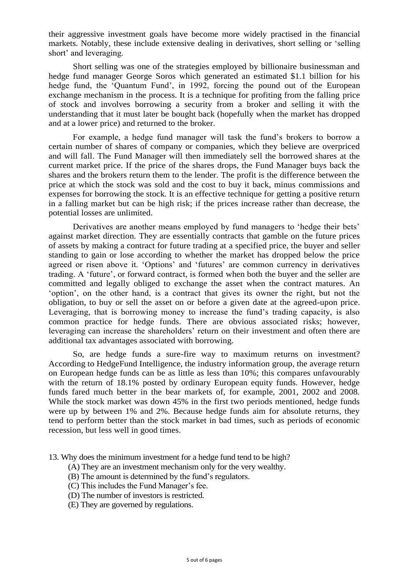their aggressive investment goals have become more widely practised in the financial markets. Notably, these include extensive dealing in derivatives, short selling or 'selling short' and leveraging.

Short selling was one of the strategies employed by billionaire businessman and hedge fund manager George Soros which generated an estimated \$1.1 billion for his hedge fund, the 'Quantum Fund', in 1992, forcing the pound out of the European exchange mechanism in the process. It is a technique for profiting from the falling price of stock and involves borrowing a security from a broker and selling it with the understanding that it must later be bought back (hopefully when the market has dropped and at a lower price) and returned to the broker.

For example, a hedge fund manager will task the fund's brokers to borrow a certain number of shares of company or companies, which they believe are overpriced and will fall. The Fund Manager will then immediately sell the borrowed shares at the current market price. If the price of the shares drops, the Fund Manager buys back the shares and the brokers return them to the lender. The profit is the difference between the price at which the stock was sold and the cost to buy it back, minus commissions and expenses for borrowing the stock. It is an effective technique for getting a positive return in a falling market but can be high risk; if the prices increase rather than decrease, the potential losses are unlimited.

Derivatives are another means employed by fund managers to 'hedge their bets' against market direction. They are essentially contracts that gamble on the future prices of assets by making a contract for future trading at a specified price, the buyer and seller standing to gain or lose according to whether the market has dropped below the price agreed or risen above it. 'Options' and 'futures' are common currency in derivatives trading. A 'future', or forward contract, is formed when both the buyer and the seller are committed and legally obliged to exchange the asset when the contract matures. An 'option', on the other hand, is a contract that gives its owner the right, but not the obligation, to buy or sell the asset on or before a given date at the agreed-upon price. Leveraging, that is borrowing money to increase the fund's trading capacity, is also common practice for hedge funds. There are obvious associated risks; however, leveraging can increase the shareholders' return on their investment and often there are additional tax advantages associated with borrowing.

So, are hedge funds a sure-fire way to maximum returns on investment? According to HedgeFund Intelligence, the industry information group, the average return on European hedge funds can be as little as less than 10%; this compares unfavourably with the return of 18.1% posted by ordinary European equity funds. However, hedge funds fared much better in the bear markets of, for example, 2001, 2002 and 2008. While the stock market was down 45% in the first two periods mentioned, hedge funds were up by between 1% and 2%. Because hedge funds aim for absolute returns, they tend to perform better than the stock market in bad times, such as periods of economic recession, but less well in good times.

13. Why does the minimum investment for a hedge fund tend to be high?

- (A) They are an investment mechanism only for the very wealthy.
- (B) The amount is determined by the fund's regulators.
- (C) This includes the Fund Manager's fee.
- (D) The number of investors is restricted.
- (E) They are governed by regulations.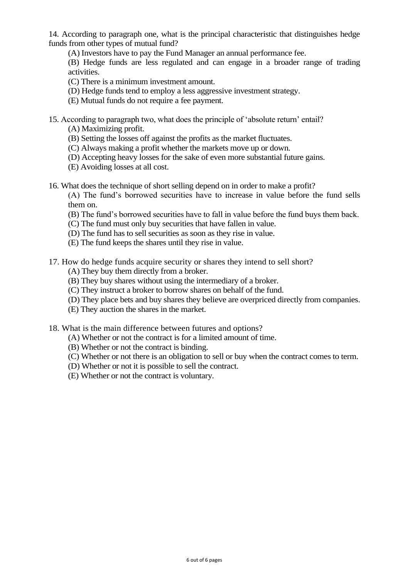14. According to paragraph one, what is the principal characteristic that distinguishes hedge funds from other types of mutual fund?

(A) Investors have to pay the Fund Manager an annual performance fee.

(B) Hedge funds are less regulated and can engage in a broader range of trading activities.

(C) There is a minimum investment amount.

- (D) Hedge funds tend to employ a less aggressive investment strategy.
- (E) Mutual funds do not require a fee payment.
- 15. According to paragraph two, what does the principle of 'absolute return' entail?

(A) Maximizing profit.

- (B) Setting the losses off against the profits as the market fluctuates.
- (C) Always making a profit whether the markets move up or down.
- (D) Accepting heavy losses for the sake of even more substantial future gains.
- (E) Avoiding losses at all cost.
- 16. What does the technique of short selling depend on in order to make a profit?

(A) The fund's borrowed securities have to increase in value before the fund sells them on.

- (B) The fund's borrowed securities have to fall in value before the fund buys them back.
- (C) The fund must only buy securities that have fallen in value.
- (D) The fund has to sell securities as soon as they rise in value.
- (E) The fund keeps the shares until they rise in value.
- 17. How do hedge funds acquire security or shares they intend to sell short?
	- (A) They buy them directly from a broker.
	- (B) They buy shares without using the intermediary of a broker.
	- (C) They instruct a broker to borrow shares on behalf of the fund.
	- (D) They place bets and buy shares they believe are overpriced directly from companies.
	- (E) They auction the shares in the market.

18. What is the main difference between futures and options?

- (A) Whether or not the contract is for a limited amount of time.
- (B) Whether or not the contract is binding.
- (C) Whether or not there is an obligation to sell or buy when the contract comes to term.
- (D) Whether or not it is possible to sell the contract.
- (E) Whether or not the contract is voluntary.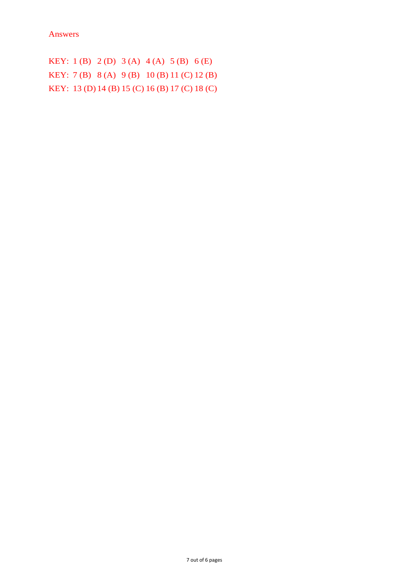KEY: 1 (B) 2 (D) 3 (A) 4 (A) 5 (B) 6 (E) KEY: 7 (B) 8 (A) 9 (B) 10 (B) 11 (C) 12 (B) KEY: 13 (D) 14 (B) 15 (C) 16 (B) 17 (C) 18 (C)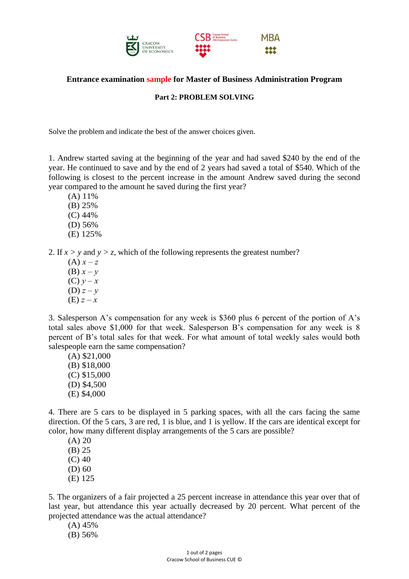

# **Entrance examination sample for Master of Business Administration Program**

## **Part 2: PROBLEM SOLVING**

Solve the problem and indicate the best of the answer choices given.

1. Andrew started saving at the beginning of the year and had saved \$240 by the end of the year. He continued to save and by the end of 2 years had saved a total of \$540. Which of the following is closest to the percent increase in the amount Andrew saved during the second year compared to the amount he saved during the first year?

(A) 11% (B) 25%

- (C) 44%
- (D) 56%
- (E) 125%

2. If  $x > y$  and  $y > z$ , which of the following represents the greatest number?

 $(A) x - z$ (B)  $x - y$ (C)  $y - x$ (D)  $z - y$  $(E) z - x$ 

3. Salesperson A's compensation for any week is \$360 plus 6 percent of the portion of A's total sales above \$1,000 for that week. Salesperson B's compensation for any week is 8 percent of B's total sales for that week. For what amount of total weekly sales would both salespeople earn the same compensation?

(A) \$21,000 (B) \$18,000 (C) \$15,000 (D) \$4,500 (E) \$4,000

4. There are 5 cars to be displayed in 5 parking spaces, with all the cars facing the same direction. Of the 5 cars, 3 are red, 1 is blue, and 1 is yellow. If the cars are identical except for color, how many different display arrangements of the 5 cars are possible?

 $(A) 20$ (B) 25 (C) 40

(D) 60

(E) 125

5. The organizers of a fair projected a 25 percent increase in attendance this year over that of last year, but attendance this year actually decreased by 20 percent. What percent of the projected attendance was the actual attendance?

(A) 45%

(B) 56%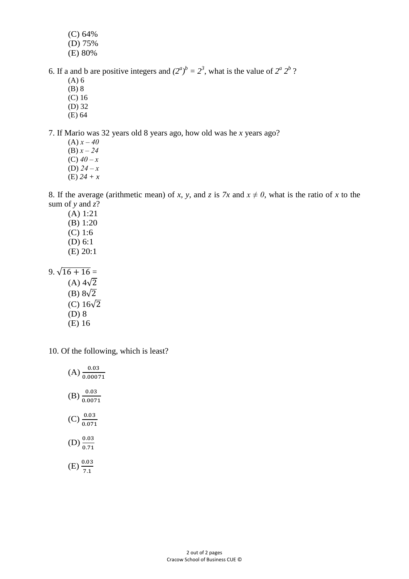- (C) 64%
- (D) 75%
- (E) 80%

6. If a and b are positive integers and  $(2^a)^b = 2^3$ , what is the value of  $2^a 2^b$ ?

- (A) 6
- (B) 8
- (C) 16 (D) 32
- (E) 64

7. If Mario was 32 years old 8 years ago, how old was he *x* years ago?

 $(A) x - 40$ (B) *x ‒ 24* (C) *40 ‒ x* (D) *24 ‒ x* (E) *24 + x*

8. If the average (arithmetic mean) of *x*, *y*, and *z* is *7x* and  $x \neq 0$ , what is the ratio of *x* to the sum of *y* and *z*?

(A) 1:21 (B) 1:20 (C) 1:6 (D) 6:1 (E) 20:1

9.  $\sqrt{16 + 16} =$  $(A)$  4 $\sqrt{2}$ (B)  $8\sqrt{2}$ (C)  $16\sqrt{2}$ (D) 8 (E) 16

10. Of the following, which is least?

| $(A) \frac{0.03}{0.00071}$ |
|----------------------------|
| $(B) \frac{0.03}{0.0071}$  |
| $(C)$ $\frac{0.03}{0.071}$ |
| (D) $\frac{0.03}{0.71}$    |
| $(E) \frac{0.03}{7.1}$     |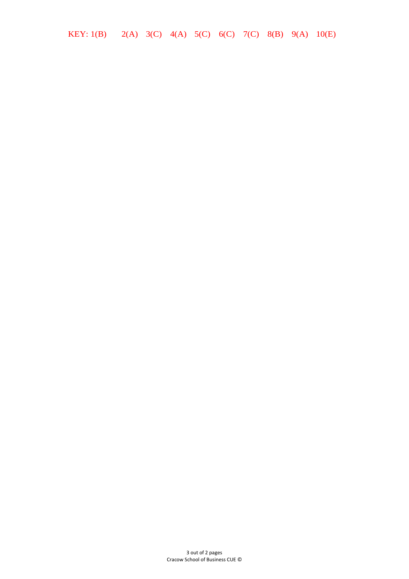KEY: 1(B) 2(A) 3(C) 4(A) 5(C) 6(C) 7(C) 8(B) 9(A) 10(E)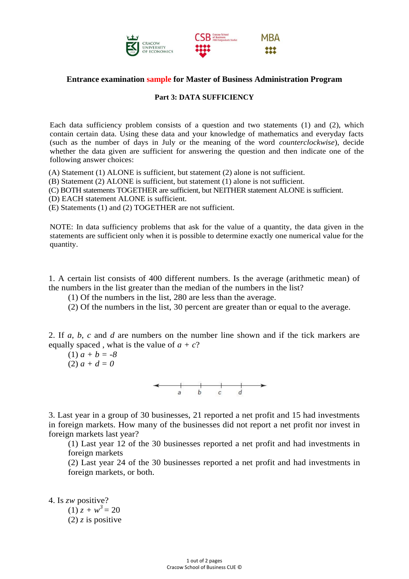

# **Entrance examination sample for Master of Business Administration Program**

#### **Part 3: DATA SUFFICIENCY**

Each data sufficiency problem consists of a question and two statements (1) and (2), which contain certain data. Using these data and your knowledge of mathematics and everyday facts (such as the number of days in July or the meaning of the word *counterclockwise*), decide whether the data given are sufficient for answering the question and then indicate one of the following answer choices:

(A) Statement (1) ALONE is sufficient, but statement (2) alone is not sufficient.

(B) Statement (2) ALONE is sufficient, but statement (1) alone is not sufficient.

(C) BOTH statements TOGETHER are sufficient, but NEITHER statement ALONE is sufficient.

(D) EACH statement ALONE is sufficient.

(E) Statements (1) and (2) TOGETHER are not sufficient.

NOTE: In data sufficiency problems that ask for the value of a quantity, the data given in the statements are sufficient only when it is possible to determine exactly one numerical value for the quantity.

1. A certain list consists of 400 different numbers. Is the average (arithmetic mean) of the numbers in the list greater than the median of the numbers in the list?

(1) Of the numbers in the list, 280 are less than the average.

(2) Of the numbers in the list, 30 percent are greater than or equal to the average.

2. If *a*, *b*, *c* and *d* are numbers on the number line shown and if the tick markers are equally spaced, what is the value of  $a + c$ ?

(1) *a + b = -8* (2) *a + d = 0*



3. Last year in a group of 30 businesses, 21 reported a net profit and 15 had investments in foreign markets. How many of the businesses did not report a net profit nor invest in foreign markets last year?

(1) Last year 12 of the 30 businesses reported a net profit and had investments in foreign markets

(2) Last year 24 of the 30 businesses reported a net profit and had investments in foreign markets, or both.

4. Is *zw* positive?

 $(1)$   $z + w^3 = 20$  $(2)$  *z* is positive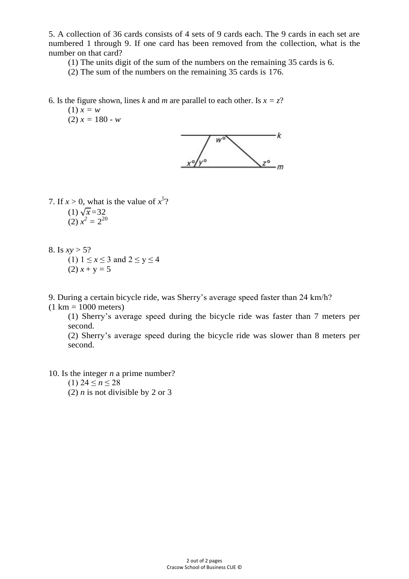5. A collection of 36 cards consists of 4 sets of 9 cards each. The 9 cards in each set are numbered 1 through 9. If one card has been removed from the collection, what is the number on that card?

(1) The units digit of the sum of the numbers on the remaining 35 cards is 6.

(2) The sum of the numbers on the remaining 35 cards is 176.

6. Is the figure shown, lines *k* and *m* are parallel to each other. Is  $x = z$ ?

(1) *x = w*  $(2) x = 180 - w$ 



7. If  $x > 0$ , what is the value of  $x^5$ ?  $(1)\sqrt{x}$ =32

(1) 
$$
\sqrt{x} - 32
$$
  
(2)  $x^2 = 2^{20}$ 

8. Is  $xy > 5$ ?

(1)  $1 \le x \le 3$  and  $2 \le y \le 4$ (2)  $x + y = 5$ 

9. During a certain bicycle ride, was Sherry's average speed faster than 24 km/h?

 $(1 \text{ km} = 1000 \text{ meters})$ 

(1) Sherry's average speed during the bicycle ride was faster than 7 meters per second.

(2) Sherry's average speed during the bicycle ride was slower than 8 meters per second.

10. Is the integer *n* a prime number?

(1)  $24 \le n \le 28$ 

(2) *n* is not divisible by 2 or 3